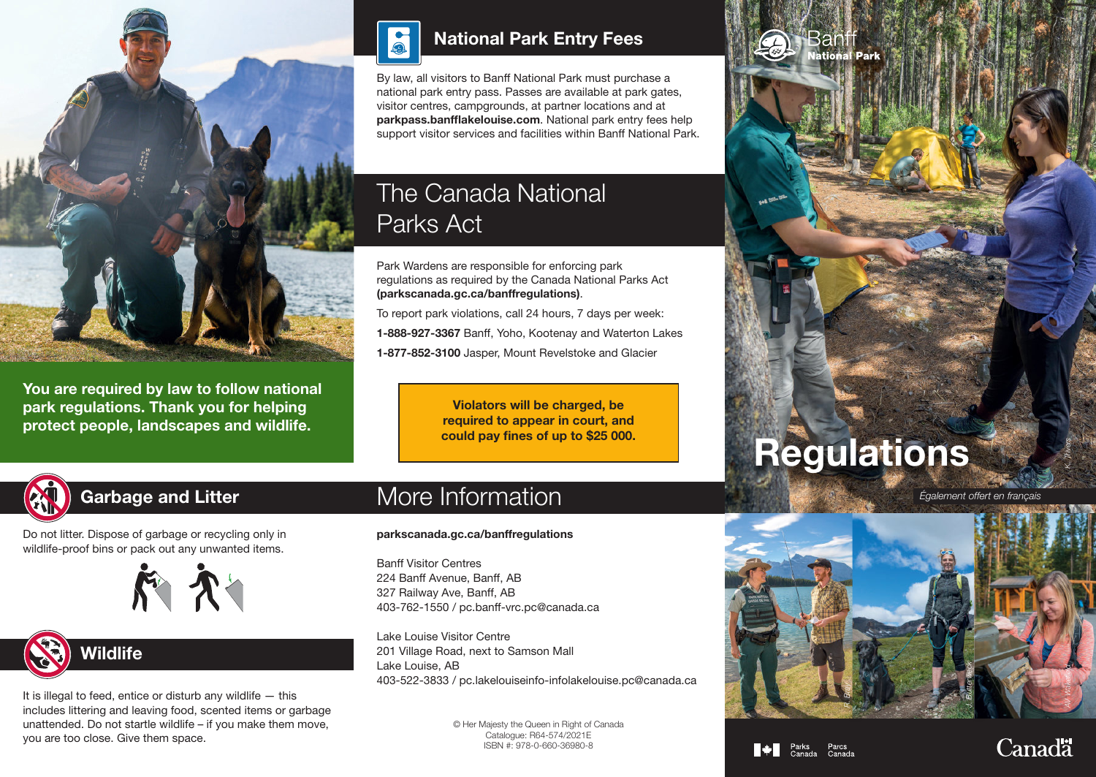

You are required by law to follow national park regulations. Thank you for helping protect people, landscapes and wildlife.



By law, all visitors to Banff National Park must purchase a national park entry pass. Passes are available at park gates, visitor centres, campgrounds, at partner locations and at parkpass.banfflakelouise.com. National park entry fees help support visitor services and facilities within Banff National Park.

## The Canada National Parks Act

Park Wardens are responsible for enforcing park regulations as required by the Canada National Parks Act (parkscanada.gc.ca/banffregulations).

To report park violations, call 24 hours, 7 days per week: 1-888-927-3367 Banff, Yoho, Kootenay and Waterton Lakes 1-877-852-3100 Jasper, Mount Revelstoke and Glacier

> Violators will be charged, be required to appear in court, and could pay fines of up to \$25 000.



## Garbage and Litter

Do not litter. Dispose of garbage or recycling only in wildlife-proof bins or pack out any unwanted items.



# **Wildlife**

It is illegal to feed, entice or disturb any wildlife  $-$  this includes littering and leaving food, scented items or garbage unattended. Do not startle wildlife – if you make them move, you are too close. Give them space.

## More Information

#### parkscanada.gc.ca/banffregulations

Banff Visitor Centres 224 Banff Avenue, Banff, AB 327 Railway Ave, Banff, AB 403-762-1550 / pc.banff-vrc.pc@canada.ca

Lake Louise Visitor Centre 201 Village Road, next to Samson Mall Lake Louise, AB 403-522-3833 / pc.lakelouiseinfo-infolakelouise.pc@canada.ca

> © Her Majesty the Queen in Right of Canada Catalogue: R64-574/2021E ISBN #: 978-0-660-36980-8



san **ational Park** 

*Également offert en français*



#### $\blacksquare \triangleleft \blacksquare$  Parks

**Canadä** 

*K. Trivers*